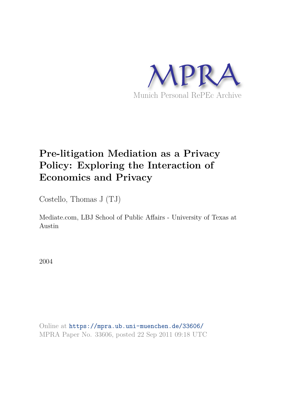

# **Pre-litigation Mediation as a Privacy Policy: Exploring the Interaction of Economics and Privacy**

Costello, Thomas J (TJ)

Mediate.com, LBJ School of Public Affairs - University of Texas at Austin

2004

Online at https://mpra.ub.uni-muenchen.de/33606/ MPRA Paper No. 33606, posted 22 Sep 2011 09:18 UTC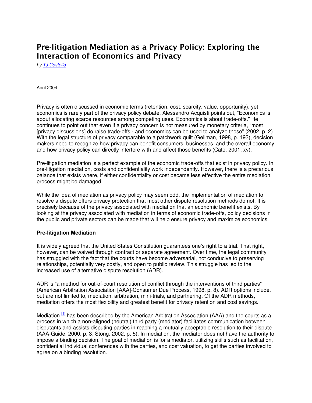# Pre-litigation Mediation as a Privacy Policy: Exploring the Interaction of Economics and Privacy

by **[TJ Costello](http://www.mediate.com/articles/costelloTJ1.cfm#bio)** 

April 2004

Privacy is often discussed in economic terms (retention, cost, scarcity, value, opportunity), yet economics is rarely part of the privacy policy debate. Alessandro Acquisti points out, "Economics is about allocating scarce resources among competing uses. Economics is about trade-offs." He continues to point out that even if a privacy concern is not measured by monetary criteria, "most [privacy discussions] do raise trade-offs - and economics can be used to analyze those" (2002, p. 2). With the legal structure of privacy comparable to a patchwork quilt (Gellman, 1998, p. 193), decision makers need to recognize how privacy can benefit consumers, businesses, and the overall economy and how privacy policy can directly interfere with and affect those benefits (Cate, 2001, xv).

Pre-litigation mediation is a perfect example of the economic trade-offs that exist in privacy policy. In pre-litigation mediation, costs and confidentiality work independently. However, there is a precarious balance that exists where, if either confidentiality or cost became less effective the entire mediation process might be damaged.

While the idea of mediation as privacy policy may seem odd, the implementation of mediation to resolve a dispute offers privacy protection that most other dispute resolution methods do not. It is precisely because of the privacy associated with mediation that an economic benefit exists. By looking at the privacy associated with mediation in terms of economic trade-offs, policy decisions in the public and private sectors can be made that will help ensure privacy and maximize economics.

#### **Pre-litigation Mediation**

It is widely agreed that the United States Constitution guarantees one's right to a trial. That right, however, can be waived through contract or separate agreement. Over time, the legal community has struggled with the fact that the courts have become adversarial, not conducive to preserving relationships, potentially very costly, and open to public review. This struggle has led to the increased use of alternative dispute resolution (ADR).

ADR is "a method for out-of-court resolution of conflict through the interventions of third parties" (American Arbitration Association [AAA]-Consumer Due Process, 1998, p. 8). ADR options include, but are not limited to, mediation, arbitration, mini-trials, and partnering. Of the ADR methods, mediation offers the most flexibility and greatest benefit for privacy retention and cost savings.

Mediation  $[1]$  has been described by the American Arbitration Association (AAA) and the courts as a process in which a non-aligned (neutral) third party (mediator) facilitates communication between disputants and assists disputing parties in reaching a mutually acceptable resolution to their dispute (AAA-Guide, 2000, p. 3; Stong, 2002, p. 5). In mediation, the mediator does not have the authority to impose a binding decision. The goal of mediation is for a mediator, utilizing skills such as facilitation, confidential individual conferences with the parties, and cost valuation, to get the parties involved to agree on a binding resolution.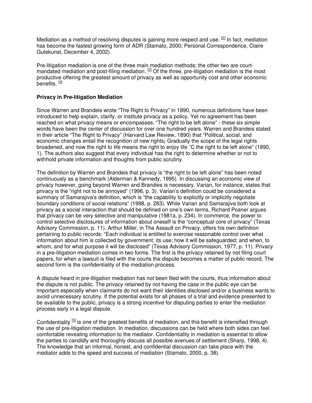Mediation as a method of resolving disputes is gaining more respect and use.  $[2]$  In fact, mediation has become the fastest growing form of ADR (Stamato, 2000; Personal Correspondence, Claire Gutekunst, December 4, 2002).

Pre-litigation mediation is one of the three main mediation methods; the other two are courtmandated mediation and post-filing mediation.  $3$  Of the three, pre-litigation mediation is the most productive offering the greatest amount of privacy as well as opportunity cost and other economic benefits. <sup>[\[4\]](http://www.mediate.com/articles/costelloTJ1.cfm#4)</sup>

## **Privacy in Pre-litigation Mediation**

Since Warren and Brandeis wrote "The Right to Privacy" in 1890, numerous definitions have been introduced to help explain, clarify, or institute privacy as a policy. Yet no agreement has been reached on what privacy means or encompasses. "The right to be left alone" - these six simple words have been the center of discussion for over one hundred years. Warren and Brandeis stated in their article "The Right to Privacy" (Harvard Law Review, 1890) that "Political, social, and economic changes entail the recognition of new rights¡ Gradually the scope of the legal rights broadened, and now the right to life means the right to enjoy life ¨C the right to be left alone" (1890, 1). The authors also suggest that every individual has the right to determine whether or not to withhold private information and thoughts from public scrutiny.

The definition by Warren and Brandeis that privacy is "the right to be left alone" has been noted continuously as a benchmark (Alderman & Kennedy, 1995). In discussing an economic view of privacy however, going beyond Warren and Brandies is necessary. Varian, for instance, states that privacy is the "right not to be annoyed" (1996, p. 3). Varian's definition could be considered a summary of Samarajiva's definition, which is "the capability to explicitly or implicitly negotiate boundary conditions of social relations" (1998, p. 283). While Varian and Samarajiva both look at privacy as a social interaction that should be defined on one's own terms, Richard Posner argues that privacy can be very selective and manipulative (1981a, p. 234). In commerce, the power to control selective disclosures of information about oneself is the "conceptual core of privacy" (Texas Advisory Commission, p. 11). Arthur Miller, in The Assault on Privacy, offers his own definition pertaining to public records: "Each individual is entitled to exercise reasonable control over what information about him is collected by government; its use; how it will be safeguarded; and when, to whom, and for what purpose it will be disclosed" (Texas Advisory Commission, 1977, p. 11). Privacy in a pre-litigation mediation comes in two forms. The first is the privacy retained by not filing court papers, for when a lawsuit is filed with the courts the dispute becomes a matter of public record. The second form is the confidentiality of the mediation process.

A dispute heard in pre-litigation mediation has not been filed with the courts, thus information about the dispute is not public. The privacy retained by not having the case in the public eye can be important especially when claimants do not want their identities disclosed and/or a business wants to avoid unnecessary scrutiny. If the potential exists for all phases of a trial and evidence presented to be available to the public, privacy is a strong incentive for disputing parties to enter the mediation process early in a legal dispute.

Confidentiality  $\frac{5}{2}$  is one of the greatest benefits of mediation, and this benefit is intensified through the use of pre-litigation mediation. In mediation, discussions can be held where both sides can feel comfortable revealing information to the mediator. Confidentiality in mediation is essential to allow the parties to candidly and thoroughly discuss all possible avenues of settlement (Sharp, 1998, 4). The knowledge that an informal, honest, and confidential discussion can take place with the mediator adds to the speed and success of mediation (Stamato, 2000, p. 38).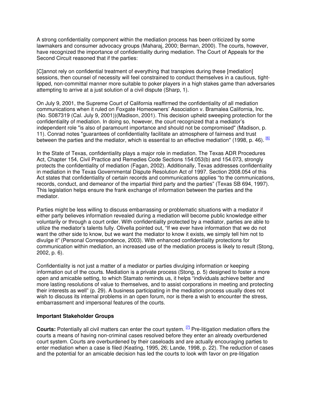A strong confidentiality component within the mediation process has been criticized by some lawmakers and consumer advocacy groups (Maharaj, 2000; Berman, 2000). The courts, however, have recognized the importance of confidentiality during mediation. The Court of Appeals for the Second Circuit reasoned that if the parties:

[C]annot rely on confidential treatment of everything that transpires during these [mediation] sessions, then counsel of necessity will feel constrained to conduct themselves in a cautious, tightlipped, non-committal manner more suitable to poker players in a high stakes game than adversaries attempting to arrive at a just solution of a civil dispute (Sharp, 1).

On July 9, 2001, the Supreme Court of California reaffirmed the confidentiality of all mediation communications when it ruled on Foxgate Homeowners' Association v. Bramalea California, Inc. (No. S087319 (Cal. July 9, 2001))(Madison, 2001). This decision upheld sweeping protection for the confidentiality of mediation. In doing so, however, the court recognized that a mediator's independent role "is also of paramount importance and should not be compromised" (Madison, p. 11). Conrad notes "guarantees of confidentiality facilitate an atmosphere of fairness and trust between the parties and the mediator, which is essential to an effective mediation" (1998, p. 46). <sup>[\[6\]](http://www.mediate.com/articles/costelloTJ1.cfm#6)</sup>

In the State of Texas, confidentiality plays a major role in mediation. The Texas ADR Procedures Act, Chapter 154, Civil Practice and Remedies Code Sections 154:053(b) and 154.073, strongly protects the confidentiality of mediation (Fagan, 2002). Additionally, Texas addresses confidentiality in mediation in the Texas Governmental Dispute Resolution Act of 1997. Section 2008.054 of this Act states that confidentiality of certain records and communications applies "to the communications, records, conduct, and demeanor of the impartial third party and the parties" (Texas SB 694, 1997). This legislation helps ensure the frank exchange of information between the parties and the mediator.

Parties might be less willing to discuss embarrassing or problematic situations with a mediator if either party believes information revealed during a mediation will become public knowledge either voluntarily or through a court order. With confidentiality protected by a mediator, parties are able to utilize the mediator's talents fully. Olivella pointed out, "If we ever have information that we do not want the other side to know, but we want the mediator to know it exists, we simply tell him not to divulge it" (Personal Correspondence, 2003). With enhanced confidentiality protections for communication within mediation, an increased use of the mediation process is likely to result (Stong, 2002, p. 6).

Confidentiality is not just a matter of a mediator or parties divulging information or keeping information out of the courts. Mediation is a private process (Stong, p. 5) designed to foster a more open and amicable setting, to which Stamato reminds us, it helps "individuals achieve better and more lasting resolutions of value to themselves, and to assist corporations in meeting and protecting their interests as well" (p. 29). A business participating in the mediation process usually does not wish to discuss its internal problems in an open forum, nor is there a wish to encounter the stress, embarrassment and impersonal features of the courts.

#### **Important Stakeholder Groups**

**Courts:** Potentially all civil matters can enter the court system. [\[7\]](http://www.mediate.com/articles/costelloTJ1.cfm#7) Pre-litigation mediation offers the courts a means of having non-criminal cases resolved before they enter an already overburdened court system. Courts are overburdened by their caseloads and are actually encouraging parties to enter mediation when a case is filed (Keating, 1995, 26; Lande, 1998, p. 22). The reduction of cases and the potential for an amicable decision has led the courts to look with favor on pre-litigation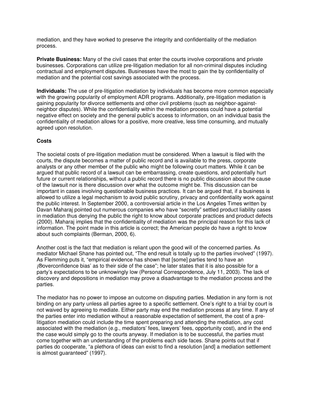mediation, and they have worked to preserve the integrity and confidentiality of the mediation process.

**Private Business:** Many of the civil cases that enter the courts involve corporations and private businesses. Corporations can utilize pre-litigation mediation for all non-criminal disputes including contractual and employment disputes. Businesses have the most to gain the by confidentiality of mediation and the potential cost savings associated with the process.

**Individuals:** The use of pre-litigation mediation by individuals has become more common especially with the growing popularity of employment ADR programs. Additionally, pre-litigation mediation is gaining popularity for divorce settlements and other civil problems (such as neighbor-againstneighbor disputes). While the confidentiality within the mediation process could have a potential negative effect on society and the general public's access to information, on an individual basis the confidentiality of mediation allows for a positive, more creative, less time consuming, and mutually agreed upon resolution.

## **Costs**

The societal costs of pre-litigation mediation must be considered. When a lawsuit is filed with the courts, the dispute becomes a matter of public record and is available to the press, corporate analysts or any other member of the public who might be following court matters. While it can be argued that public record of a lawsuit can be embarrassing, create questions, and potentially hurt future or current relationships, without a public record there is no public discussion about the cause of the lawsuit nor is there discussion over what the outcome might be. This discussion can be important in cases involving questionable business practices. It can be argued that, if a business is allowed to utilize a legal mechanism to avoid public scrutiny, privacy and confidentiality work against the public interest. In September 2000, a controversial article in the Los Angeles Times written by Davan Maharaj pointed out numerous companies who have "secretly" settled product liability cases in mediation thus denying the public the right to know about corporate practices and product defects (2000). Maharaj implies that the confidentiality of mediation was the principal reason for this lack of information. The point made in this article is correct; the American people do have a right to know about such complaints (Berman, 2000, 6).

Another cost is the fact that mediation is reliant upon the good will of the concerned parties. As mediator Michael Shane has pointed out, "The end result is totally up to the parties involved" (1997). As Flemming puts it, "empirical evidence has shown that [some] parties tend to have an ¡®overconfidence bias' as to their side of the case"; he later states that it is also possible for a party's expectations to be unknowingly low (Personal Correspondence, July 11, 2003). The lack of discovery and depositions in mediation may prove a disadvantage to the mediation process and the parties.

The mediator has no power to impose an outcome on disputing parties. Mediation in any form is not binding on any party unless all parties agree to a specific settlement. One's right to a trial by court is not waived by agreeing to mediate. Either party may end the mediation process at any time. If any of the parties enter into mediation without a reasonable expectation of settlement, the cost of a prelitigation mediation could include the time spent preparing and attending the mediation, any cost associated with the mediation (e.g., mediators' fees, lawyers' fees, opportunity cost), and in the end the case would simply go to the courts anyway. If mediation is to be successful, the parties must come together with an understanding of the problems each side faces. Shane points out that if parties do cooperate, "a plethora of ideas can exist to find a resolution [and] a mediation settlement is almost guaranteed" (1997).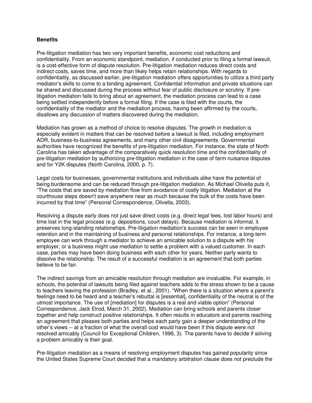#### **Benefits**

Pre-litigation mediation has two very important benefits, economic cost reductions and confidentiality. From an economic standpoint, mediation, if conducted prior to filing a formal lawsuit, is a cost-effective form of dispute resolution. Pre-litigation mediation reduces direct costs and indirect costs, saves time, and more than likely helps retain relationships. With regards to confidentiality, as discussed earlier, pre-litigation mediation offers opportunities to utilize a third party mediator's skills to come to a binding agreement. Confidential information and private situations can be shared and discussed during the process without fear of public disclosure or scrutiny. If prelitigation mediation fails to bring about an agreement, the mediation process can lead to a case being settled independently before a formal filing. If the case is filed with the courts, the confidentiality of the mediator and the mediation process, having been affirmed by the courts, disallows any discussion of matters discovered during the mediation.

Mediation has grown as a method of choice to resolve disputes. The growth in mediation is especially evident in matters that can be resolved before a lawsuit is filed, including employment ADR, business-to-business agreements, and many other civil disagreements. Governmental authorities have recognized the benefits of pre-litigation mediation. For instance, the state of North Carolina has taken advantage of the comparatively quick resolution time and the confidentiality of pre-litigation mediation by authorizing pre-litigation mediation in the case of farm nuisance disputes and for Y2K disputes (North Carolina, 2000, p. 7).

Legal costs for businesses, governmental institutions and individuals alike have the potential of being burdensome and can be reduced through pre-litigation mediation. As Michael Olivella puts it, "The costs that are saved by mediation flow from avoidance of costly litigation. Mediation at the courthouse steps doesn't save anywhere near as much because the bulk of the costs have been incurred by that time" (Personal Correspondence, Olivella, 2003).

Resolving a dispute early does not just save direct costs (e.g. direct legal fees, lost labor hours) and time lost in the legal process (e.g. depositions, court delays). Because mediation is informal, it preserves long-standing relationships. Pre-litigation mediation's success can be seen in employee retention and in the maintaining of business and personal relationships. For instance, a long-term employee can work through a mediator to achieve an amicable solution to a dispute with his employer, or a business might use mediation to settle a problem with a valued customer. In each case, parties may have been doing business with each other for years. Neither party wants to dissolve the relationship. The result of a successful mediation is an agreement that both parties believe to be fair.

The indirect savings from an amicable resolution through mediation are invaluable. For example, in schools, the potential of lawsuits being filed against teachers adds to the stress shown to be a cause to teachers leaving the profession (Bradley, et al., 2001). "When there is a situation where a parent's feelings need to be heard and a teacher's rebuttal is [essential], confidentiality of the neutral is of the utmost importance. The use of [mediation] for disputes is a real and viable option" (Personal Correspondence, Jack Elrod, March 31, 2002). Mediation can bring schools and parents closer together and help construct positive relationships. It often results in educators and parents reaching an agreement that pleases both parties and helps each party gain a deeper understanding of the other's views -- at a fraction of what the overall cost would have been if this dispute were not resolved amicably (Council for Exceptional Children, 1996, 3). The parents have to decide if solving a problem amicably is their goal.

Pre-litigation mediation as a means of resolving employment disputes has gained popularity since the United States Supreme Court decided that a mandatory arbitration clause does not preclude the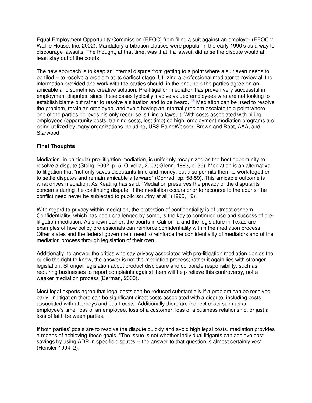Equal Employment Opportunity Commission (EEOC) from filing a suit against an employer (EEOC v. Waffle House, Inc, 2002). Mandatory arbitration clauses were popular in the early 1990's as a way to discourage lawsuits. The thought, at that time, was that if a lawsuit did arise the dispute would at least stay out of the courts.

The new approach is to keep an internal dispute from getting to a point where a suit even needs to be filed -- to resolve a problem at its earliest stage. Utilizing a professional mediator to review all the information provided and work with the parties should, in the end, help the parties agree on an amicable and sometimes creative solution. Pre-litigation mediation has proven very successful in employment disputes, since these cases typically involve valued employees who are not looking to establish blame but rather to resolve a situation and to be heard. <sup>[\[8\]](http://www.mediate.com/articles/costelloTJ1.cfm#8)</sup> Mediation can be used to resolve the problem, retain an employee, and avoid having an internal problem escalate to a point where one of the parties believes his only recourse is filing a lawsuit. With costs associated with hiring employees (opportunity costs, training costs, lost time) so high, employment mediation programs are being utilized by many organizations including, UBS PaineWebber, Brown and Root, AAA, and Starwood.

## **Final Thoughts**

Mediation, in particular pre-litigation mediation, is uniformly recognized as the best opportunity to resolve a dispute (Stong, 2002, p. 5; Olivella, 2003; Glenn, 1993, p. 36). Mediation is an alternative to litigation that "not only saves disputants time and money, but also permits them to work together to settle disputes and remain amicable afterward" (Conrad, pp. 58-59). This amicable outcome is what drives mediation. As Keating has said, "Mediation preserves the privacy of the disputants' concerns during the continuing dispute. If the mediation occurs prior to recourse to the courts, the conflict need never be subjected to public scrutiny at all" (1995, 19).

With regard to privacy within mediation, the protection of confidentiality is of utmost concern. Confidentiality, which has been challenged by some, is the key to continued use and success of prelitigation mediation. As shown earlier, the courts in California and the legislature in Texas are examples of how policy professionals can reinforce confidentiality within the mediation process. Other states and the federal government need to reinforce the confidentiality of mediators and of the mediation process through legislation of their own.

Additionally, to answer the critics who say privacy associated with pre-litigation mediation denies the public the right to know, the answer is not the mediation process; rather it again lies with stronger legislation. Stronger legislation about product disclosure and corporate responsibility, such as requiring businesses to report complaints against them will help relieve this controversy, not a weaker mediation process (Berman, 2000).

Most legal experts agree that legal costs can be reduced substantially if a problem can be resolved early. In litigation there can be significant direct costs associated with a dispute, including costs associated with attorneys and court costs. Additionally there are indirect costs such as an employee's time, loss of an employee, loss of a customer, loss of a business relationship, or just a loss of faith between parties.

If both parties' goals are to resolve the dispute quickly and avoid high legal costs, mediation provides a means of achieving those goals. "The issue is not whether individual litigants can achieve cost savings by using ADR in specific disputes -- the answer to that question is almost certainly yes" (Hensler 1994, 2).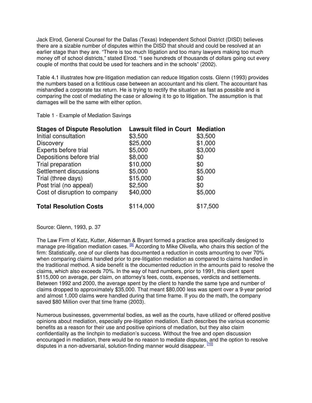Jack Elrod, General Counsel for the Dallas (Texas) Independent School District (DISD) believes there are a sizable number of disputes within the DISD that should and could be resolved at an earlier stage than they are. "There is too much litigation and too many lawyers making too much money off of school districts," stated Elrod. "I see hundreds of thousands of dollars going out every couple of months that could be used for teachers and in the schools" (2002).

Table 4.1 illustrates how pre-litigation mediation can reduce litigation costs. Glenn (1993) provides the numbers based on a fictitious case between an accountant and his client. The accountant has mishandled a corporate tax return. He is trying to rectify the situation as fast as possible and is comparing the cost of mediating the case or allowing it to go to litigation. The assumption is that damages will be the same with either option.

Table 1 - Example of Mediation Savings

| <b>Stages of Dispute Resolution</b> | <b>Lawsuit filed in Court</b> | <b>Mediation</b> |
|-------------------------------------|-------------------------------|------------------|
| Initial consultation                | \$3,500                       | \$3,500          |
| <b>Discovery</b>                    | \$25,000                      | \$1,000          |
| Experts before trial                | \$5,000                       | \$3,000          |
| Depositions before trial            | \$8,000                       | \$0              |
| Trial preparation                   | \$10,000                      | \$0              |
| Settlement discussions              | \$5,000                       | \$5,000          |
| Trial (three days)                  | \$15,000                      | \$0              |
| Post trial (no appeal)              | \$2,500                       | \$0              |
| Cost of disruption to company       | \$40,000                      | \$5,000          |
| <b>Total Resolution Costs</b>       | \$114,000                     | \$17,500         |

Source: Glenn, 1993, p. 37

The Law Firm of Katz, Kutter, Alderman & Bryant formed a practice area specifically designed to manage pre-litigation mediation cases.  $[9]$  According to Mike Olivella, who chairs this section of the firm: Statistically, one of our clients has documented a reduction in costs amounting to over 70% when comparing claims handled prior to pre-litigation mediation as compared to claims handled in the traditional method. A side benefit is the documented reduction in the amounts paid to resolve the claims, which also exceeds 70%. In the way of hard numbers, prior to 1991, this client spent \$115,000 on average, per claim, on attorney's fees, costs, expenses, verdicts and settlements. Between 1992 and 2000, the average spent by the client to handle the same type and number of claims dropped to approximately \$35,000. That meant \$80,000 less was spent over a 9-year period and almost 1,000 claims were handled during that time frame. If you do the math, the company saved \$80 Million over that time frame (2003).

Numerous businesses, governmental bodies, as well as the courts, have utilized or offered positive opinions about mediation, especially pre-litigation mediation. Each describes the various economic benefits as a reason for their use and positive opinions of mediation, but they also claim confidentiality as the linchpin to mediation's success. Without the free and open discussion encouraged in mediation, there would be no reason to mediate disputes, and the option to resolve disputes in a non-adversarial, solution-finding manner would disappear. <sup>[\[10\]](http://www.mediate.com/articles/costelloTJ1.cfm#10)</sup>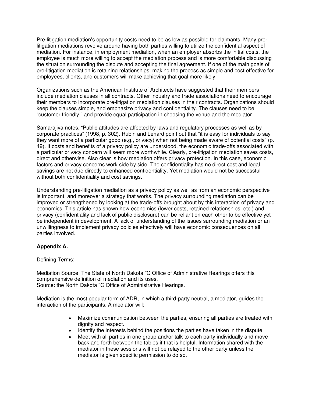Pre-litigation mediation's opportunity costs need to be as low as possible for claimants. Many prelitigation mediations revolve around having both parties willing to utilize the confidential aspect of mediation. For instance, in employment mediation, when an employer absorbs the initial costs, the employee is much more willing to accept the mediation process and is more comfortable discussing the situation surrounding the dispute and accepting the final agreement. If one of the main goals of pre-litigation mediation is retaining relationships, making the process as simple and cost effective for employees, clients, and customers will make achieving that goal more likely.

Organizations such as the American Institute of Architects have suggested that their members include mediation clauses in all contracts. Other industry and trade associations need to encourage their members to incorporate pre-litigation mediation clauses in their contracts. Organizations should keep the clauses simple, and emphasize privacy and confidentiality. The clauses need to be "customer friendly," and provide equal participation in choosing the venue and the mediator.

Samarajiva notes, "Public attitudes are affected by laws and regulatory processes as well as by corporate practices" (1998, p. 302). Rubin and Lenard point out that "it is easy for individuals to say they want more of a particular good (e.g., privacy) when not being made aware of potential costs" (p. 49). If costs and benefits of a privacy policy are understood, the economic trade-offs associated with a particular privacy concern will seem more worthwhile. Clearly, pre-litigation mediation saves costs, direct and otherwise. Also clear is how mediation offers privacy protection. In this case, economic factors and privacy concerns work side by side. The confidentiality has no direct cost and legal savings are not due directly to enhanced confidentiality. Yet mediation would not be successful without both confidentiality and cost savings.

Understanding pre-litigation mediation as a privacy policy as well as from an economic perspective is important, and moreover a strategy that works. The privacy surrounding mediation can be improved or strengthened by looking at the trade-offs brought about by this interaction of privacy and economics. This article has shown how economics (lower costs, retained relationships, etc.) and privacy (confidentiality and lack of public disclosure) can be reliant on each other to be effective yet be independent in development. A lack of understanding of the issues surrounding mediation or an unwillingness to implement privacy policies effectively will have economic consequences on all parties involved.

# **Appendix A.**

#### Defining Terms:

Mediation Source: The State of North Dakota ¨C Office of Administrative Hearings offers this comprehensive definition of mediation and its uses. Source: the North Dakota ¨C Office of Administrative Hearings.

Mediation is the most popular form of ADR, in which a third-party neutral, a mediator, guides the interaction of the participants. A mediator will:

- Maximize communication between the parties, ensuring all parties are treated with dignity and respect.
- Identify the interests behind the positions the parties have taken in the dispute.
- Meet with all parties in one group and/or talk to each party individually and move back and forth between the tables if that is helpful. Information shared with the mediator in these sessions will not be relayed to the other party unless the mediator is given specific permission to do so.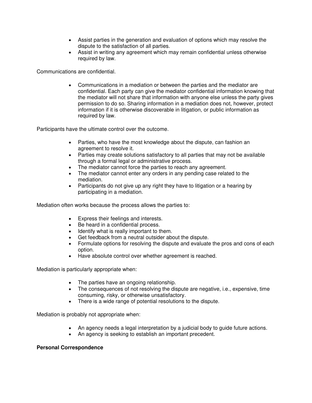- Assist parties in the generation and evaluation of options which may resolve the dispute to the satisfaction of all parties.
- Assist in writing any agreement which may remain confidential unless otherwise required by law.

Communications are confidential.

• Communications in a mediation or between the parties and the mediator are confidential. Each party can give the mediator confidential information knowing that the mediator will not share that information with anyone else unless the party gives permission to do so. Sharing information in a mediation does not, however, protect information if it is otherwise discoverable in litigation, or public information as required by law.

Participants have the ultimate control over the outcome.

- agreement to resolve it. • Parties, who have the most knowledge about the dispute, can fashion an
- Parties may create solutions satisfactory to all parties that may not be available through a formal legal or administrative process.
- The mediator cannot force the parties to reach any agreement.
- The mediator cannot enter any orders in any pending case related to the mediation.
- Participants do not give up any right they have to litigation or a hearing by participating in a mediation.

Mediation often works because the process allows the parties to:

- . Express their feelings and interests
- Be heard in a confidential process.
- Identify what is really important to them.
- Get feedback from a neutral outsider about the dispute.
- Formulate options for resolving the dispute and evaluate the pros and cons of each option.
- Have absolute control over whether agreement is reached.

Mediation is particularly appropriate when:

- The parties have an ongoing relationship.
- The consequences of not resolving the dispute are negative, i.e., expensive, time consuming, risky, or otherwise unsatisfactory.
- There is a wide range of potential resolutions to the dispute.

Mediation is probably not appropriate when:

- An agency needs a legal interpretation by a judicial body to guide future actions.
- An agency is seeking to establish an important precedent.

# **Personal Correspondence**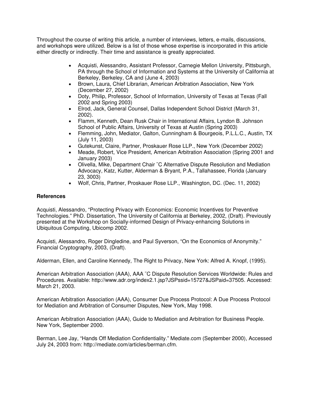Throughout the course of writing this article, a number of interviews, letters, e-mails, discussions, and workshops were utilized. Below is a list of those whose expertise is incorporated in this article either directly or indirectly. Their time and assistance is greatly appreciated.

- Acquisti, Alessandro, Assistant Professor, Carnegie Mellon University, Pittsburgh, PA through the School of Information and Systems at the University of California at Berkeley, Berkeley, CA and (June 4, 2003)
- Brown, Laura, Chief Librarian, American Arbitration Association, New York (December 27, 2002)
- Doty, Philip, Professor, School of Information, University of Texas at Texas (Fall 2002 and Spring 2003)
- Elrod, Jack, General Counsel, Dallas Independent School District (March 31, 2002).
- Flamm, Kenneth, Dean Rusk Chair in International Affairs, Lyndon B. Johnson School of Public Affairs, University of Texas at Austin (Spring 2003)
- Flemming, John, Mediator, Galton, Cunningham & Bourgeois, P.L.L.C., Austin, TX (July 11, 2003)
- Gutekunst, Claire, Partner, Proskauer Rose LLP., New York (December 2002)
- Meade, Robert, Vice President, American Arbitration Association (Spring 2001 and January 2003)
- Advocacy, Katz, Kutter, Alderman & Bryant, P.A., Tallahassee, Florida (January • Olivella, Mike, Department Chair ¨C Alternative Dispute Resolution and Mediation 23, 3003)
- Wolf, Chris, Partner, Proskauer Rose LLP., Washington, DC. (Dec. 11, 2002)

# **References**

Technologies." PhD. Dissertation, The University of California at Berkeley, 2002, (Draft). Previously presented at the Workshop on Socially-informed Design of Privacy-enhancing Solutions in Ubiquitous Computing, Ubicomp 2002. Acquisti, Alessandro, "Protecting Privacy with Economics: Economic Incentives for Preventive

Acquisti, Alessandro, Roger Dingledine, and Paul Syverson, "On the Economics of Anonymity." Financial Cryptography, 2003, (Draft).

Alderman, Ellen, and Caroline Kennedy, The Right to Privacy, New York: Alfred A. Knopf, (1995).

Procedures. Available: http://www.adr.org/index2.1.jsp?JSPssid=15727&JSPaid=37505. Accessed: March 21, 2003. American Arbitration Association (AAA), AAA ¨C Dispute Resolution Services Worldwide: Rules and

American Arbitration Association (AAA), Consumer Due Process Protocol: A Due Process Protocol for Mediation and Arbitration of Consumer Disputes, New York, May 1998.

American Arbitration Association (AAA), Guide to Mediation and Arbitration for Business People. New York, September 2000.

Berman, Lee Jay, "Hands Off Mediation Confidentiality." Mediate.com (September 2000), Accessed July 24, 2003 from: http://mediate.com/articles/berman.cfm.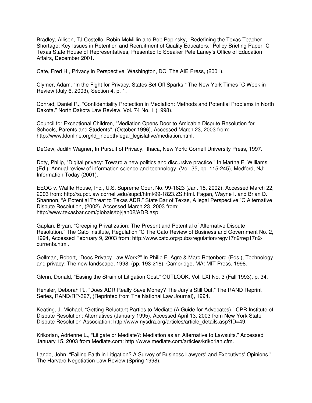Bradley, Allison, TJ Costello, Robin McMillin and Bob Popinsky, "Redefining the Texas Teacher Shortage: Key Issues in Retention and Recruitment of Quality Educators." Policy Briefing Paper ¨C Texas State House of Representatives, Presented to Speaker Pete Laney's Office of Education Affairs, December 2001.

Cate, Fred H., Privacy in Perspective, Washington, DC, The AIE Press, (2001).

Clymer, Adam. "In the Fight for Privacy, States Set Off Sparks." The New York Times ¨C Week in Review (July 6, 2003), Section 4, p. 1.

Conrad, Daniel R., "Confidentiality Protection in Mediation: Methods and Potential Problems in North Dakota." North Dakota Law Review, Vol. 74 No. 1 (1998).

Council for Exceptional Children, "Mediation Opens Door to Amicable Dispute Resolution for Schools, Parents and Students", (October 1996), Accessed March 23, 2003 from: http://www.ldonline.org/ld\_indepth/legal\_legislative/mediation.html.

DeCew, Judith Wagner, In Pursuit of Privacy. Ithaca, New York: Cornell University Press, 1997.

Doty, Philip, "Digital privacy: Toward a new politics and discursive practice." In Martha E. Williams (Ed.), Annual review of information science and technology, (Vol. 35, pp. 115-245), Medford, NJ: Information Today (2001).

2003 from: http://supct.law.cornell.edu/supct/html/99-1823.ZS.html. Fagan, Wayne I. and Brian D. Shannon, "A Potential Threat to Texas ADR." State Bar of Texas, A legal Perspective ¨C Alternative Dispute Resolution, (2002), Accessed March 23, 2003 from: EEOC v. Waffle House, Inc., U.S. Supreme Court No. 99-1823 (Jan. 15, 2002). Accessed March 22, http://www.texasbar.com/globals/tbj/jan02/ADR.asp.

Resolution." The Cato Institute, Regulation ¨C The Cato Review of Business and Government No. 2, 1994, Accessed February 9, 2003 from: http://www.cato.org/pubs/regulation/regv17n2/reg17n2- Gaplan, Bryan. "Creeping Privatization: The Present and Potential of Alternative Dispute currents.html.

Gellman, Robert, "Does Privacy Law Work?" In Philip E. Agre & Marc Rotenberg (Eds.), Technology and privacy: The new landscape, 1998. (pp. 193-218). Cambridge, MA: MIT Press, 1998.

. Glenn, Donald, "Easing the Strain of Litigation Cost." OUTLOOK, Vol. LXI No. 3 (Fall 1993), p. 34

Hensler, Deborah R., "Does ADR Really Save Money? The Jury's Still Out." The RAND Reprint Series, RAND/RP-327, (Reprinted from The National Law Journal), 1994.

Keating, J. Michael, "Getting Reluctant Parties to Mediate (A Guide for Advocates)." CPR Institute of Dispute Resolution: Alternatives (January 1995), Accessed April 13, 2003 from New York State Dispute Resolution Association: http://www.nysdra.org/articles/article\_details.asp?ID=49.

Krikorian, Adrienne L., "Litigate or Mediate?: Mediation as an Alternative to Lawsuits." Accessed January 15, 2003 from Mediate.com: http://www.mediate.com/articles/krikorian.cfm.

Lande, John, "Failing Faith in Litigation? A Survey of Business Lawyers' and Executives' Opinions." The Harvard Negotiation Law Review (Spring 1998).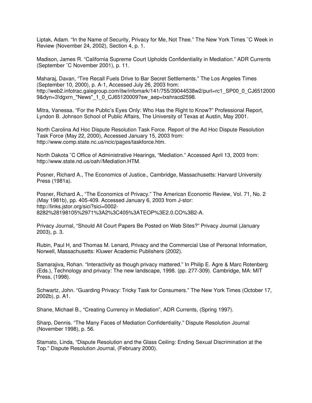Liptak, Adam. "In the Name of Security, Privacy for Me, Not Thee." The New York Times ¨C Week in Review (November 24, 2002), Section 4, p. 1.

Madison, James R. "California Supreme Court Upholds Confidentiality in Mediation." ADR Currents (September ¨C November 2001), p. 11.

Maharaj, Davan, "Tire Recall Fuels Drive to Bar Secret Settlements." The Los Angeles Times (September 10, 2000), p. A-1, Accessed July 26, 2003 from: http://web2.infotrac.galegroup.com/itw/infomark/141/755/39044538w2/purl=rc1\_SP00\_0\_CJ6512000 9&dyn=3!dgxrn\_"News"\_1\_0\_CJ65120009?sw\_aep=txshracd2598.

Mitra, Vanessa. "For the Public's Eyes Only: Who Has the Right to Know?" Professional Report, Lyndon B. Johnson School of Public Affairs, The University of Texas at Austin, May 2001.

North Carolina Ad Hoc Dispute Resolution Task Force. Report of the Ad Hoc Dispute Resolution Task Force (May 22, 2000), Accessed January 15, 2003 from: http://www.comp.state.nc.us/ncic/pages/taskforce.htm.

North Dakota ¨C Office of Administrative Hearings, "Mediation." Accessed April 13, 2003 from: http://www.state.nd.us/oah//Mediation.HTM.

Posner, Richard A., The Economics of Justice., Cambridge, Massachusetts: Harvard University Press (1981a).

Posner, Richard A., "The Economics of Privacy." The American Economic Review, Vol. 71, No. 2 (May 1981b), pp. 405-409. Accessed January 6, 2003 from J-stor: http://links.jstor.org/sici?sici=0002-8282%28198105%2971%3A2%3C405%3ATEOP%3E2.0.CO%3B2-A.

Privacy Journal, "Should All Court Papers Be Posted on Web Sites?" Privacy Journal (January 2003), p. 3.

Rubin, Paul H, and Thomas M. Lenard, Privacy and the Commercial Use of Personal Information, Norwell, Massachusetts: Kluwer Academic Publishers (2002).

Samarajiva, Rohan. "Interactivity as though privacy mattered." In Philip E. Agre & Marc Rotenberg (Eds.), Technology and privacy: The new landscape, 1998. (pp. 277-309). Cambridge, MA: MIT Press, (1998).

Schwartz, John. "Guarding Privacy: Tricky Task for Consumers." The New York Times (October 17, 2002b), p. A1.

Shane, Michael B., "Creating Currency in Mediation", ADR Currents, (Spring 1997).

Sharp, Dennis. "The Many Faces of Mediation Confidentiality." Dispute Resolution Journal (November 1998), p. 56.

Stamato, Linda, "Dispute Resolution and the Glass Ceiling: Ending Sexual Discrimination at the Top." Dispute Resolution Journal, (February 2000).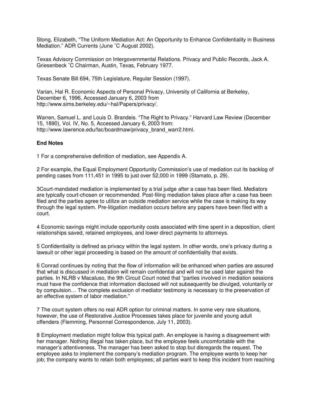Stong, Elizabeth, "The Uniform Mediation Act: An Opportunity to Enhance Confidentiality in Business Mediation." ADR Currents (June ¨C August 2002).

Texas Advisory Commission on Intergovernmental Relations. Privacy and Public Records, Jack A. Griesenbeck ¨C Chairman, Austin, Texas, February 1977.

Texas Senate Bill 694, 75th Legislature, Regular Session (1997).

Varian, Hal R. Economic Aspects of Personal Privacy, University of California at Berkeley, December 6, 1996, Accessed January 6, 2003 from http://www.sims.berkeley.edu/~hal/Papers/privacy/.

Warren, Samuel L. and Louis D. Brandeis. "The Right to Privacy." Harvard Law Review (December 15, 1890), Vol. IV, No. 5, Accessed January 6, 2003 from: http://www.lawrence.edu/fac/boardmaw/privacy\_brand\_warr2.html.

#### **End Notes**

1 For a comprehensive definition of mediation, see Appendix A.

2 For example, the Equal Employment Opportunity Commission's use of mediation cut its backlog of pending cases from 111,451 in 1995 to just over 52,000 in 1999 (Stamato, p. 29).

3Court-mandated mediation is implemented by a trial judge after a case has been filed. Mediators are typically court-chosen or recommended. Post-filing mediation takes place after a case has been filed and the parties agree to utilize an outside mediation service while the case is making its way through the legal system. Pre-litigation mediation occurs before any papers have been filed with a court.

4 Economic savings might include opportunity costs associated with time spent in a deposition, client relationships saved, retained employees, and lower direct payments to attorneys.

5 Confidentiality is defined as privacy within the legal system. In other words, one's privacy during a lawsuit or other legal proceeding is based on the amount of confidentiality that exists.

6 Conrad continues by noting that the flow of information will be enhanced when parties are assured that what is discussed in mediation will remain confidential and will not be used later against the parties. In NLRB v Macaluso, the 9th Circuit Court noted that "parties involved in mediation sessions must have the confidence that information disclosed will not subsequently be divulged, voluntarily or by compulsion… The complete exclusion of mediator testimony is necessary to the preservation of an effective system of labor mediation."

7 The court system offers no real ADR option for criminal matters. In some very rare situations, however, the use of Restorative Justice Processes takes place for juvenile and young adult offenders (Flemming, Personnel Correspondence, July 11, 2003).

8 Employment mediation might follow this typical path. An employee is having a disagreement with her manager. Nothing illegal has taken place, but the employee feels uncomfortable with the manager's attentiveness. The manager has been asked to stop but disregards the request. The employee asks to implement the company's mediation program. The employee wants to keep her job; the company wants to retain both employees; all parties want to keep this incident from reaching